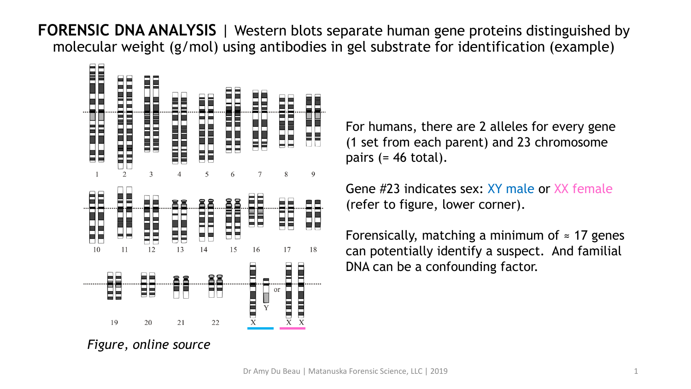**FORENSIC DNA ANALYSIS** | Western blots separate human gene proteins distinguished by molecular weight (g/mol) using antibodies in gel substrate for identification (example)



For humans, there are 2 alleles for every gene (1 set from each parent) and 23 chromosome pairs  $(= 46 \text{ total}).$ 

Gene #23 indicates sex: XY male or XX female (refer to figure, lower corner).

Forensically, matching a minimum of  $\approx$  17 genes can potentially identify a suspect. And familial DNA can be a confounding factor.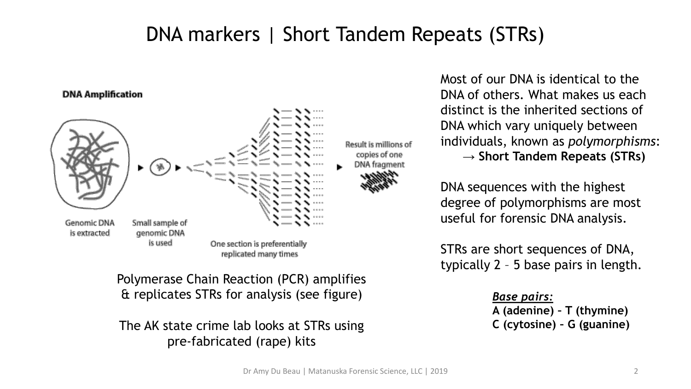## DNA markers | Short Tandem Repeats (STRs)



Polymerase Chain Reaction (PCR) amplifies & replicates STRs for analysis (see figure)

The AK state crime lab looks at STRs using pre-fabricated (rape) kits

Most of our DNA is identical to the DNA of others. What makes us each distinct is the inherited sections of DNA which vary uniquely between individuals, known as *polymorphisms*: **→ Short Tandem Repeats (STRs)** 

DNA sequences with the highest degree of polymorphisms are most useful for forensic DNA analysis.

STRs are short sequences of DNA, typically 2 – 5 base pairs in length.

#### *Base pairs:*

**A (adenine) – T (thymine) C (cytosine) – G (guanine)**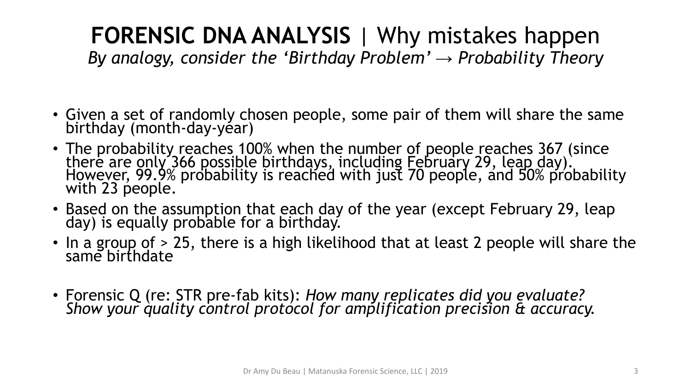## **FORENSIC DNA ANALYSIS** | Why mistakes happen

*By analogy, consider the 'Birthday Problem' → Probability Theory*

- Given a set of randomly chosen people, some pair of them will share the same birthday (month-day-year)
- The probability reaches 100% when the number of people reaches 367 (since there are only 366 possible birthdays, including Eebruary 29, leap day). However, 99.9% probability is reached with just 70 people, and 50% probability with 23 people.
- Based on the assumption that each day of the year (except February 29, leap day) is equally probable for a birthday.
- In a group of > 25, there is a high likelihood that at least 2 people will share the same birthdate
- Forensic Q (re: STR pre-fab kits): *How many replicates did you evaluate? Show your quality control protocol for amplification precision & accuracy.*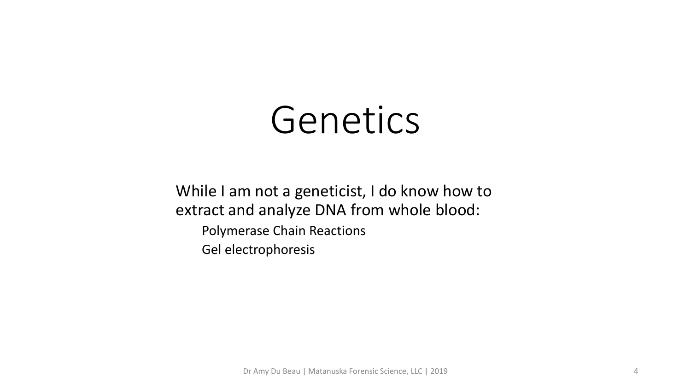# Genetics

While I am not a geneticist, I do know how to extract and analyze DNA from whole blood:

Polymerase Chain Reactions

Gel electrophoresis